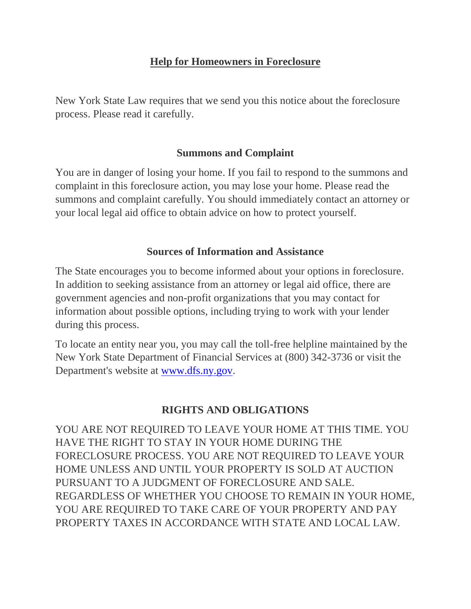## **Help for Homeowners in Foreclosure**

New York State Law requires that we send you this notice about the foreclosure process. Please read it carefully.

### **Summons and Complaint**

You are in danger of losing your home. If you fail to respond to the summons and complaint in this foreclosure action, you may lose your home. Please read the summons and complaint carefully. You should immediately contact an attorney or your local legal aid office to obtain advice on how to protect yourself.

### **Sources of Information and Assistance**

The State encourages you to become informed about your options in foreclosure. In addition to seeking assistance from an attorney or legal aid office, there are government agencies and non-profit organizations that you may contact for information about possible options, including trying to work with your lender during this process.

To locate an entity near you, you may call the toll-free helpline maintained by the New York State Department of Financial Services at (800) 342-3736 or visit the Department's website at [www.dfs.ny.gov.](http://www.dfs.ny.gov/)

# **RIGHTS AND OBLIGATIONS**

YOU ARE NOT REQUIRED TO LEAVE YOUR HOME AT THIS TIME. YOU HAVE THE RIGHT TO STAY IN YOUR HOME DURING THE FORECLOSURE PROCESS. YOU ARE NOT REQUIRED TO LEAVE YOUR HOME UNLESS AND UNTIL YOUR PROPERTY IS SOLD AT AUCTION PURSUANT TO A JUDGMENT OF FORECLOSURE AND SALE. REGARDLESS OF WHETHER YOU CHOOSE TO REMAIN IN YOUR HOME, YOU ARE REQUIRED TO TAKE CARE OF YOUR PROPERTY AND PAY PROPERTY TAXES IN ACCORDANCE WITH STATE AND LOCAL LAW.